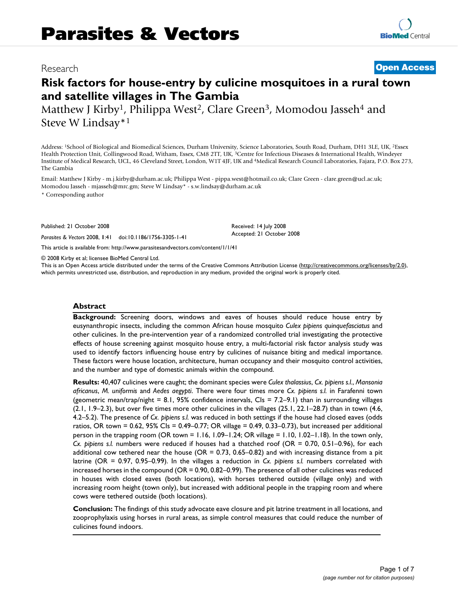# Research **[Open Access](http://www.biomedcentral.com/info/about/charter/)**

# **Risk factors for house-entry by culicine mosquitoes in a rural town and satellite villages in The Gambia**

Matthew J Kirby<sup>1</sup>, Philippa West<sup>2</sup>, Clare Green<sup>3</sup>, Momodou Jasseh<sup>4</sup> and Steve W Lindsay\*1

Address: 1School of Biological and Biomedical Sciences, Durham University, Science Laboratories, South Road, Durham, DH1 3LE, UK, 2Essex Health Protection Unit, Collingwood Road, Witham, Essex, CM8 2TT, UK, 3Centre for Infectious Diseases & International Health, Windeyer Institute of Medical Research, UCL, 46 Cleveland Street, London, W1T 4JF, UK and 4Medical Research Council Laboratories, Fajara, P.O. Box 273, The Gambia

Email: Matthew J Kirby - m.j.kirby@durham.ac.uk; Philippa West - pippa.west@hotmail.co.uk; Clare Green - clare.green@ucl.ac.uk; Momodou Jasseh - mjasseh@mrc.gm; Steve W Lindsay\* - s.w.lindsay@durham.ac.uk

\* Corresponding author

Published: 21 October 2008

*Parasites & Vectors* 2008, **1**:41 doi:10.1186/1756-3305-1-41

[This article is available from: http://www.parasitesandvectors.com/content/1/1/41](http://www.parasitesandvectors.com/content/1/1/41)

© 2008 Kirby et al; licensee BioMed Central Ltd.

This is an Open Access article distributed under the terms of the Creative Commons Attribution License [\(http://creativecommons.org/licenses/by/2.0\)](http://creativecommons.org/licenses/by/2.0), which permits unrestricted use, distribution, and reproduction in any medium, provided the original work is properly cited.

Received: 14 July 2008 Accepted: 21 October 2008

#### **Abstract**

**Background:** Screening doors, windows and eaves of houses should reduce house entry by eusynanthropic insects, including the common African house mosquito *Culex pipiens quinquefasciatus* and other culicines. In the pre-intervention year of a randomized controlled trial investigating the protective effects of house screening against mosquito house entry, a multi-factorial risk factor analysis study was used to identify factors influencing house entry by culicines of nuisance biting and medical importance. These factors were house location, architecture, human occupancy and their mosquito control activities, and the number and type of domestic animals within the compound.

**Results:** 40,407 culicines were caught; the dominant species were *Culex thalassius*, *Cx. pipiens s.l.*, *Mansonia africanus*, *M. uniformis* and *Aedes aegypti*. There were four times more *Cx. pipiens s.l.* in Farafenni town (geometric mean/trap/night = 8.1, 95% confidence intervals,  $Cls = 7.2-9.1$ ) than in surrounding villages (2.1, 1.9–2.3), but over five times more other culicines in the villages (25.1, 22.1–28.7) than in town (4.6, 4.2–5.2). The presence of *Cx. pipiens s.l.* was reduced in both settings if the house had closed eaves (odds ratios, OR town = 0.62, 95% CIs = 0.49-0.77; OR village = 0.49, 0.33-0.73), but increased per additional person in the trapping room (OR town = 1.16, 1.09–1.24; OR village = 1.10, 1.02–1.18). In the town only, *Cx. pipiens s.l.* numbers were reduced if houses had a thatched roof (OR = 0.70, 0.51–0.96), for each additional cow tethered near the house ( $OR = 0.73$ ,  $0.65-0.82$ ) and with increasing distance from a pit latrine (OR = 0.97, 0.95–0.99). In the villages a reduction in *Cx. pipiens s.l.* numbers correlated with increased horses in the compound (OR = 0.90, 0.82–0.99). The presence of all other culicines was reduced in houses with closed eaves (both locations), with horses tethered outside (village only) and with increasing room height (town only), but increased with additional people in the trapping room and where cows were tethered outside (both locations).

**Conclusion:** The findings of this study advocate eave closure and pit latrine treatment in all locations, and zooprophylaxis using horses in rural areas, as simple control measures that could reduce the number of culicines found indoors.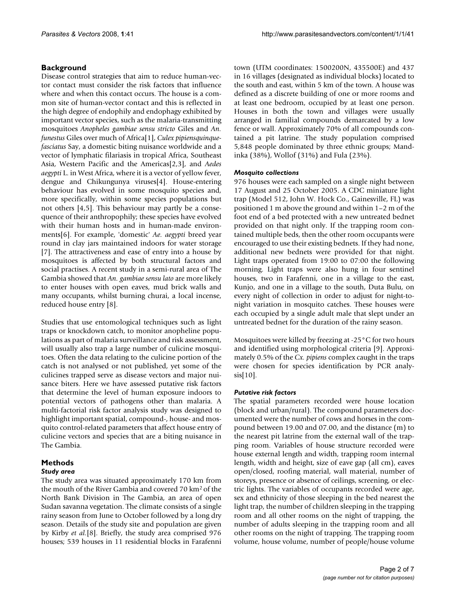# **Background**

Disease control strategies that aim to reduce human-vector contact must consider the risk factors that influence where and when this contact occurs. The house is a common site of human-vector contact and this is reflected in the high degree of endophily and endophagy exhibited by important vector species, such as the malaria-transmitting mosquitoes *Anopheles gambiae sensu stricto* Giles and *An. funestus* Giles over much of Africa[1], *Culex pipiensquinquefasciatus* Say, a domestic biting nuisance worldwide and a vector of lymphatic filariasis in tropical Africa, Southeast Asia, Western Pacific and the Americas[2,3], and *Aedes aegypti* L. in West Africa, where it is a vector of yellow fever, dengue and Chikungunya viruses[[4](#page-5-0)]. House-entering behaviour has evolved in some mosquito species and, more specifically, within some species populations but not others [[4,](#page-5-0)5]. This behaviour may partly be a consequence of their anthropophily; these species have evolved with their human hosts and in human-made environments[\[6\]](#page-5-1). For example, 'domestic' *Ae. aegypti* breed year round in clay jars maintained indoors for water storage [7]. The attractiveness and ease of entry into a house by mosquitoes is affected by both structural factors and social practises. A recent study in a semi-rural area of The Gambia showed that *An. gambiae sensu lato* are more likely to enter houses with open eaves, mud brick walls and many occupants, whilst burning churai, a local incense, reduced house entry [8].

Studies that use entomological techniques such as light traps or knockdown catch, to monitor anopheline populations as part of malaria surveillance and risk assessment, will usually also trap a large number of culicine mosquitoes. Often the data relating to the culicine portion of the catch is not analysed or not published, yet some of the culicines trapped serve as disease vectors and major nuisance biters. Here we have assessed putative risk factors that determine the level of human exposure indoors to potential vectors of pathogens other than malaria. A multi-factorial risk factor analysis study was designed to highlight important spatial, compound-, house- and mosquito control-related parameters that affect house entry of culicine vectors and species that are a biting nuisance in The Gambia.

# **Methods**

# *Study area*

The study area was situated approximately 170 km from the mouth of the River Gambia and covered 70 km2 of the North Bank Division in The Gambia, an area of open Sudan savanna vegetation. The climate consists of a single rainy season from June to October followed by a long dry season. Details of the study site and population are given by Kirby *et al.*[8]. Briefly, the study area comprised 976 houses; 539 houses in 11 residential blocks in Farafenni

town (UTM coordinates: 1500200N, 435500E) and 437 in 16 villages (designated as individual blocks) located to the south and east, within 5 km of the town. A house was defined as a discrete building of one or more rooms and at least one bedroom, occupied by at least one person. Houses in both the town and villages were usually arranged in familial compounds demarcated by a low fence or wall. Approximately 70% of all compounds contained a pit latrine. The study population comprised 5,848 people dominated by three ethnic groups; Mandinka (38%), Wollof (31%) and Fula (23%).

# *Mosquito collections*

976 houses were each sampled on a single night between 17 August and 25 October 2005. A CDC miniature light trap (Model 512, John W. Hock Co., Gainesville, FL) was positioned 1 m above the ground and within 1–2 m of the foot end of a bed protected with a new untreated bednet provided on that night only. If the trapping room contained multiple beds, then the other room occupants were encouraged to use their existing bednets. If they had none, additional new bednets were provided for that night. Light traps operated from 19:00 to 07:00 the following morning. Light traps were also hung in four sentinel houses, two in Farafenni, one in a village to the east, Kunjo, and one in a village to the south, Duta Bulu, on every night of collection in order to adjust for night-tonight variation in mosquito catches. These houses were each occupied by a single adult male that slept under an untreated bednet for the duration of the rainy season.

Mosquitoes were killed by freezing at -25°C for two hours and identified using morphological criteria [9]. Approximately 0.5% of the *Cx. pipiens* complex caught in the traps were chosen for species identification by PCR analysis[[10\]](#page-6-0).

# *Putative risk factors*

The spatial parameters recorded were house location (block and urban/rural). The compound parameters documented were the number of cows and horses in the compound between 19.00 and 07.00, and the distance (m) to the nearest pit latrine from the external wall of the trapping room. Variables of house structure recorded were house external length and width, trapping room internal length, width and height, size of eave gap (all cm), eaves open/closed, roofing material, wall material, number of storeys, presence or absence of ceilings, screening, or electric lights. The variables of occupants recorded were age, sex and ethnicity of those sleeping in the bed nearest the light trap, the number of children sleeping in the trapping room and all other rooms on the night of trapping, the number of adults sleeping in the trapping room and all other rooms on the night of trapping. The trapping room volume, house volume, number of people/house volume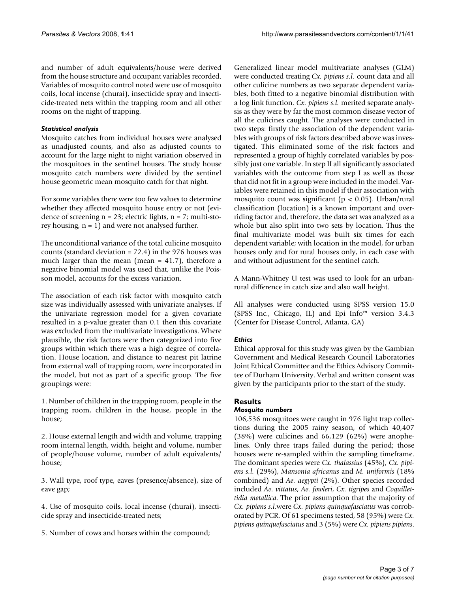and number of adult equivalents/house were derived from the house structure and occupant variables recorded. Variables of mosquito control noted were use of mosquito coils, local incense (churai), insecticide spray and insecticide-treated nets within the trapping room and all other rooms on the night of trapping.

### *Statistical analysis*

Mosquito catches from individual houses were analysed as unadjusted counts, and also as adjusted counts to account for the large night to night variation observed in the mosquitoes in the sentinel houses. The study house mosquito catch numbers were divided by the sentinel house geometric mean mosquito catch for that night.

For some variables there were too few values to determine whether they affected mosquito house entry or not (evidence of screening  $n = 23$ ; electric lights,  $n = 7$ ; multi-storey housing,  $n = 1$ ) and were not analysed further.

The unconditional variance of the total culicine mosquito counts (standard deviation = 72.4) in the 976 houses was much larger than the mean (mean  $= 41.7$ ), therefore a negative binomial model was used that, unlike the Poisson model, accounts for the excess variation.

The association of each risk factor with mosquito catch size was individually assessed with univariate analyses. If the univariate regression model for a given covariate resulted in a p-value greater than 0.1 then this covariate was excluded from the multivariate investigations. Where plausible, the risk factors were then categorized into five groups within which there was a high degree of correlation. House location, and distance to nearest pit latrine from external wall of trapping room, were incorporated in the model, but not as part of a specific group. The five groupings were:

1. Number of children in the trapping room, people in the trapping room, children in the house, people in the house;

2. House external length and width and volume, trapping room internal length, width, height and volume, number of people/house volume, number of adult equivalents/ house;

3. Wall type, roof type, eaves (presence/absence), size of eave gap;

4. Use of mosquito coils, local incense (churai), insecticide spray and insecticide-treated nets;

5. Number of cows and horses within the compound;

Generalized linear model multivariate analyses (GLM) were conducted treating *Cx. pipiens s.l.* count data and all other culicine numbers as two separate dependent variables, both fitted to a negative binomial distribution with a log link function. *Cx. pipiens s.l.* merited separate analysis as they were by far the most common disease vector of all the culicines caught. The analyses were conducted in two steps: firstly the association of the dependent variables with groups of risk factors described above was investigated. This eliminated some of the risk factors and represented a group of highly correlated variables by possibly just one variable. In step II all significantly associated variables with the outcome from step I as well as those that did not fit in a group were included in the model. Variables were retained in this model if their association with mosquito count was significant ( $p < 0.05$ ). Urban/rural classification (location) is a known important and overriding factor and, therefore, the data set was analyzed as a whole but also split into two sets by location. Thus the final multivariate model was built six times for each dependent variable; with location in the model, for urban houses only and for rural houses only, in each case with and without adjustment for the sentinel catch.

A Mann-Whitney U test was used to look for an urbanrural difference in catch size and also wall height.

All analyses were conducted using SPSS version 15.0 (SPSS Inc., Chicago, IL) and Epi Info™ version 3.4.3 (Center for Disease Control, Atlanta, GA)

# *Ethics*

Ethical approval for this study was given by the Gambian Government and Medical Research Council Laboratories Joint Ethical Committee and the Ethics Advisory Committee of Durham University. Verbal and written consent was given by the participants prior to the start of the study.

# **Results**

#### *Mosquito numbers*

106,536 mosquitoes were caught in 976 light trap collections during the 2005 rainy season, of which 40,407 (38%) were culicines and 66,129 (62%) were anophelines. Only three traps failed during the period; those houses were re-sampled within the sampling timeframe. The dominant species were *Cx. thalassius* (45%), *Cx. pipiens s.l.* (29%), *Mansonia africanus* and *M. uniformis* (18% combined) and *Ae. aegypti* (2%). Other species recorded included *Ae. vittatus*, *Ae. fowleri*, *Cx. tigripes* and *Coquillettidia metallica*. The prior assumption that the majority of *Cx. pipiens s.l.*were *Cx. pipiens quinquefasciatus* was corroborated by PCR. Of 61 specimens tested, 58 (95%) were *Cx. pipiens quinquefasciatus* and 3 (5%) were *Cx. pipiens pipiens*.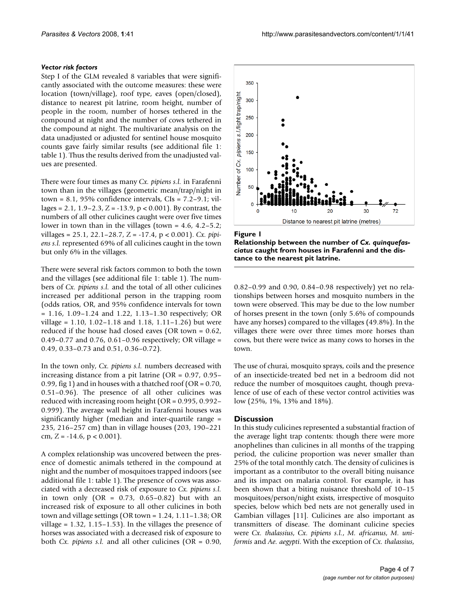#### *Vector risk factors*

Step I of the GLM revealed 8 variables that were significantly associated with the outcome measures: these were location (town/village), roof type, eaves (open/closed), distance to nearest pit latrine, room height, number of people in the room, number of horses tethered in the compound at night and the number of cows tethered in the compound at night. The multivariate analysis on the data unadjusted or adjusted for sentinel house mosquito counts gave fairly similar results (see additional file 1: table 1). Thus the results derived from the unadjusted values are presented.

There were four times as many *Cx. pipiens s.l.* in Farafenni town than in the villages (geometric mean/trap/night in town = 8.1, 95% confidence intervals, CIs = 7.2–9.1; villages = 2.1, 1.9–2.3,  $Z = -13.9$ ,  $p < 0.001$ ). By contrast, the numbers of all other culicines caught were over five times lower in town than in the villages (town =  $4.6$ ,  $4.2-5.2$ ; villages = 25.1, 22.1–28.7, Z = -17.4, p < 0.001). *Cx. pipiens s.l.* represented 69% of all culicines caught in the town but only 6% in the villages.

There were several risk factors common to both the town and the villages (see additional file 1: table 1). The numbers of *Cx. pipiens s.l.* and the total of all other culicines increased per additional person in the trapping room (odds ratios, OR, and 95% confidence intervals for town  $= 1.16, 1.09 - 1.24$  and 1.22, 1.13–1.30 respectively; OR village = 1.10, 1.02–1.18 and 1.18, 1.11–1.26) but were reduced if the house had closed eaves (OR town = 0.62, 0.49–0.77 and 0.76, 0.61–0.96 respectively; OR village = 0.49, 0.33–0.73 and 0.51, 0.36–0.72).

In the town only, *Cx. pipiens s.l.* numbers decreased with increasing distance from a pit latrine (OR = 0.97, 0.95– 0.99, fig 1) and in houses with a thatched roof (OR = 0.70, 0.51–0.96). The presence of all other culicines was reduced with increasing room height ( $OR = 0.995$ ,  $0.992 -$ 0.999). The average wall height in Farafenni houses was significantly higher (median and inter-quartile range = 235, 216–257 cm) than in village houses (203, 190–221 cm,  $Z = -14.6$ ,  $p < 0.001$ ).

A complex relationship was uncovered between the presence of domestic animals tethered in the compound at night and the number of mosquitoes trapped indoors (see additional file 1: table 1). The presence of cows was associated with a decreased risk of exposure to *Cx. pipiens s.l.* in town only  $(OR = 0.73, 0.65 - 0.82)$  but with an increased risk of exposure to all other culicines in both town and village settings (OR town = 1.24, 1.11–1.38; OR village =  $1.32$ ,  $1.15-1.53$ ). In the villages the presence of horses was associated with a decreased risk of exposure to both *Cx. pipiens s.l.* and all other culicines (OR = 0.90,



Relationship between the number of caught from houses in Farafenni and the distance to the near- est pit latrine **Figure 1** *Cx. quinquefasciatus*  **Relationship between the number of** *Cx. quinquefasciatus* **caught from houses in Farafenni and the distance to the nearest pit latrine.**

0.82–0.99 and 0.90, 0.84–0.98 respectively) yet no relationships between horses and mosquito numbers in the town were observed. This may be due to the low number of horses present in the town (only 5.6% of compounds have any horses) compared to the villages (49.8%). In the villages there were over three times more horses than cows, but there were twice as many cows to horses in the town.

The use of churai, mosquito sprays, coils and the presence of an insecticide-treated bed net in a bedroom did not reduce the number of mosquitoes caught, though prevalence of use of each of these vector control activities was low (25%, 1%, 13% and 18%).

#### **Discussion**

In this study culicines represented a substantial fraction of the average light trap contents: though there were more anophelines than culicines in all months of the trapping period, the culicine proportion was never smaller than 25% of the total monthly catch. The density of culicines is important as a contributor to the overall biting nuisance and its impact on malaria control. For example, it has been shown that a biting nuisance threshold of 10–15 mosquitoes/person/night exists, irrespective of mosquito species, below which bed nets are not generally used in Gambian villages [11]. Culicines are also important as transmitters of disease. The dominant culicine species were *Cx. thalassius*, *Cx. pipiens s.l.*, *M. africanus*, *M. uniformis* and *Ae. aegypti*. With the exception of *Cx. thalassius*,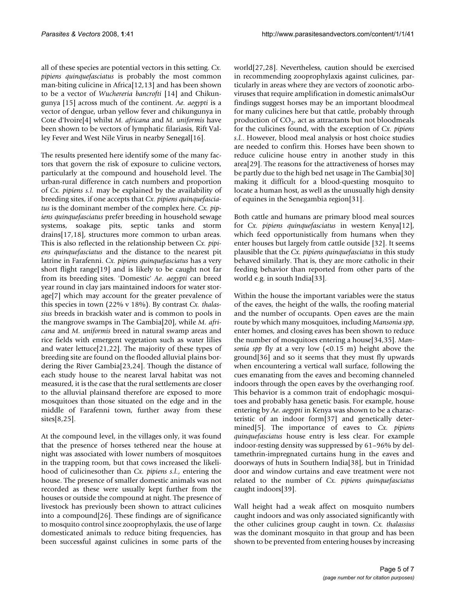all of these species are potential vectors in this setting. *Cx. pipiens quinquefasciatus* is probably the most common man-biting culicine in Africa[12,[13](#page-6-1)] and has been shown to be a vector of *Wuchereria bancrofti* [14] and Chikungunya [15] across much of the continent. *Ae. aegypti* is a vector of dengue, urban yellow fever and chikungunya in Cote d'Ivoire[\[4\]](#page-5-0) whilst *M. africana* and *M. uniformis* have been shown to be vectors of lymphatic filariasis, Rift Valley Fever and West Nile Virus in nearby Senegal[16].

The results presented here identify some of the many factors that govern the risk of exposure to culicine vectors, particularly at the compound and household level. The urban-rural difference in catch numbers and proportion of *Cx. pipiens s.l.* may be explained by the availability of breeding sites, if one accepts that *Cx. pipiens quinquefasciatus* is the dominant member of the complex here. *Cx. pipiens quinquefasciatus* prefer breeding in household sewage systems, soakage pits, septic tanks and storm drains[17,18], structures more common to urban areas. This is also reflected in the relationship between *Cx. pipiens quinquefasciatus* and the distance to the nearest pit latrine in Farafenni. *Cx. pipiens quinquefasciatus* has a very short flight range[19] and is likely to be caught not far from its breeding sites. 'Domestic' *Ae. aegypti* can breed year round in clay jars maintained indoors for water storage[7] which may account for the greater prevalence of this species in town (22% v 18%). By contrast *Cx. thalassius* breeds in brackish water and is common to pools in the mangrove swamps in The Gambia[20], while *M. africana* and *M. uniformis* breed in natural swamp areas and rice fields with emergent vegetation such as water lilies and water lettuce[21,22]. The majority of these types of breeding site are found on the flooded alluvial plains bordering the River Gambia[23,24]. Though the distance of each study house to the nearest larval habitat was not measured, it is the case that the rural settlements are closer to the alluvial plainsand therefore are exposed to more mosquitoes than those situated on the edge and in the middle of Farafenni town, further away from these sites[8,25].

At the compound level, in the villages only, it was found that the presence of horses tethered near the house at night was associated with lower numbers of mosquitoes in the trapping room, but that cows increased the likelihood of culicinesother than *Cx. pipiens s.l.*, entering the house. The presence of smaller domestic animals was not recorded as these were usually kept further from the houses or outside the compound at night. The presence of livestock has previously been shown to attract culicines into a compound[26]. These findings are of significance to mosquito control since zooprophylaxis, the use of large domesticated animals to reduce biting frequencies, has been successful against culicines in some parts of the

world[27,28]. Nevertheless, caution should be exercised in recommending zooprophylaxis against culicines, particularly in areas where they are vectors of zoonotic arboviruses that require amplification in domestic animalsOur findings suggest horses may be an important bloodmeal for many culicines here but that cattle, probably through production of  $CO<sub>2</sub>$ , act as attractants but not bloodmeals for the culicines found, with the exception of *Cx. pipiens s.l.*. However, blood meal analysis or host choice studies are needed to confirm this. Horses have been shown to reduce culicine house entry in another study in this area[29]. The reasons for the attractiveness of horses may be partly due to the high bed net usage in The Gambia[30] making it difficult for a blood-questing mosquito to locate a human host, as well as the unusually high density of equines in the Senegambia region[31].

Both cattle and humans are primary blood meal sources for *Cx. pipiens quinquefasciatus* in western Kenya[12], which feed opportunistically from humans when they enter houses but largely from cattle outside [32]. It seems plausible that the *Cx. pipiens quinquefasciatus* in this study behaved similarly. That is, they are more catholic in their feeding behavior than reported from other parts of the world e.g. in south India[\[33\]](#page-6-2).

Within the house the important variables were the status of the eaves, the height of the walls, the roofing material and the number of occupants. Open eaves are the main route by which many mosquitoes, including *Mansonia spp*, enter homes, and closing eaves has been shown to reduce the number of mosquitoes entering a house[34,35]. *Mansonia spp* fly at a very low  $(*0.15* m)$  height above the ground[36] and so it seems that they must fly upwards when encountering a vertical wall surface, following the cues emanating from the eaves and becoming channeled indoors through the open eaves by the overhanging roof. This behavior is a common trait of endophagic mosquitoes and probably hasa genetic basis. For example, house entering by *Ae. aegypti* in Kenya was shown to be a characteristic of an indoor form[37] and genetically determined[5]. The importance of eaves to *Cx. pipiens quinquefasciatus* house entry is less clear. For example indoor-resting density was suppressed by 61–96% by deltamethrin-impregnated curtains hung in the eaves and doorways of huts in Southern India[38], but in Trinidad door and window curtains and eave treatment were not related to the number of *Cx. pipiens quinquefasciatus* caught indoors[39].

Wall height had a weak affect on mosquito numbers caught indoors and was only associated significantly with the other culicines group caught in town. *Cx. thalassius* was the dominant mosquito in that group and has been shown to be prevented from entering houses by increasing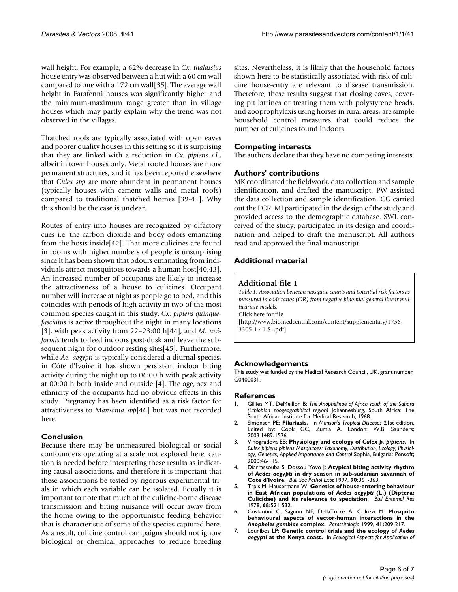wall height. For example, a 62% decrease in *Cx. thalassius* house entry was observed between a hut with a 60 cm wall compared to one with a 172 cm wall[35]. The average wall height in Farafenni houses was significantly higher and the minimum-maximum range greater than in village houses which may partly explain why the trend was not observed in the villages.

Thatched roofs are typically associated with open eaves and poorer quality houses in this setting so it is surprising that they are linked with a reduction in *Cx. pipiens s.l.*, albeit in town houses only. Metal roofed houses are more permanent structures, and it has been reported elsewhere that *Culex spp* are more abundant in permanent houses (typically houses with cement walls and metal roofs) compared to traditional thatched homes [39-41]. Why this should be the case is unclear.

Routes of entry into houses are recognized by olfactory cues i.e. the carbon dioxide and body odors emanating from the hosts inside[42]. That more culicines are found in rooms with higher numbers of people is unsurprising since it has been shown that odours emanating from individuals attract mosquitoes towards a human host[40,43]. An increased number of occupants are likely to increase the attractiveness of a house to culicines. Occupant number will increase at night as people go to bed, and this coincides with periods of high activity in two of the most common species caught in this study. *Cx. pipiens quinquefasciatus* is active throughout the night in many locations [3], with peak activity from 22–23:00 h[44], and *M. uniformis* tends to feed indoors post-dusk and leave the subsequent night for outdoor resting sites[\[45\]](#page-6-3). Furthermore, while *Ae. aegypti* is typically considered a diurnal species, in Côte d'Ivoire it has shown persistent indoor biting activity during the night up to 06:00 h with peak activity at 00:00 h both inside and outside [\[4\]](#page-5-0). The age, sex and ethnicity of the occupants had no obvious effects in this study. Pregnancy has been identified as a risk factor for attractiveness to *Mansonia spp*[46] but was not recorded here.

# **Conclusion**

Because there may be unmeasured biological or social confounders operating at a scale not explored here, caution is needed before interpreting these results as indicating causal associations, and therefore it is important that these associations be tested by rigorous experimental trials in which each variable can be isolated. Equally it is important to note that much of the culicine-borne disease transmission and biting nuisance will occur away from the home owing to the opportunistic feeding behavior that is characteristic of some of the species captured here. As a result, culicine control campaigns should not ignore biological or chemical approaches to reduce breeding sites. Nevertheless, it is likely that the household factors shown here to be statistically associated with risk of culicine house-entry are relevant to disease transmission. Therefore, these results suggest that closing eaves, covering pit latrines or treating them with polystyrene beads, and zooprophylaxis using horses in rural areas, are simple household control measures that could reduce the number of culicines found indoors.

## **Competing interests**

The authors declare that they have no competing interests.

#### **Authors' contributions**

MK coordinated the fieldwork, data collection and sample identification, and drafted the manuscript. PW assisted the data collection and sample identification. CG carried out the PCR. MJ participated in the design of the study and provided access to the demographic database. SWL conceived of the study, participated in its design and coordination and helped to draft the manuscript. All authors read and approved the final manuscript.

# **Additional material**

#### **Additional file 1**

*Table 1. Association between mosquito counts and potential risk factors as measured in odds ratios (OR) from negative binomial general linear multivariate models.* Click here for file

[\[http://www.biomedcentral.com/content/supplementary/1756-](http://www.biomedcentral.com/content/supplementary/1756-3305-1-41-S1.pdf) 3305-1-41-S1.pdf]

# **Acknowledgements**

This study was funded by the Medical Research Council, UK, grant number G0400031.

#### **References**

- 1. Gillies MT, DeMeillon B: *The Anophelinae of Africa south of the Sahara (Ethiopian zoogeographical region)* Johannesburg, South Africa: The South African Institute for Medical Research; 1968.
- 2. Simonsen PE: **Filariasis.** In *Manson's Tropical Diseases* 21st edition. Edited by: Cook GC, Zumla A. London: W.B. Saunders; 2003:1489-1526.
- 3. Vinogradova EB: **Physiology and ecology of** *Culex p. pipiens***.** In *Culex pipiens pipiens Mosquitoes: Taxonomy, Distribution, Ecology, Physiology, Genetics, Applied Importance and Control* Sophia, Bulgaria: Pensoft; 2000:46-115.
- <span id="page-5-0"></span>4. Diarrassouba S, Dossou-Yovo J: **Atypical biting activity rhythm of** *Aedes aegypti* **[in dry season in sub-sudanian savannah of](http://www.ncbi.nlm.nih.gov/entrez/query.fcgi?cmd=Retrieve&db=PubMed&dopt=Abstract&list_uids=9507772) [Cote d'Ivoire.](http://www.ncbi.nlm.nih.gov/entrez/query.fcgi?cmd=Retrieve&db=PubMed&dopt=Abstract&list_uids=9507772)** *Bull Soc Pathol Exot* 1997, **90:**361-363.
- 5. Trpis M, Hausermann W: **Genetics of house-entering behaviour in East African populations of** *Aedes aegypti* **(L.) (Diptera: Culicidae) and its relevance to speciation.** *Bull Entomol Res* 1978, **68:**521-532.
- <span id="page-5-1"></span>6. Costantini C, Sagnon NF, DellaTorre A, Coluzzi M: **Mosquito behavioural aspects of vector-human interactions in the** *Anopheles gambiae* **[complex.](http://www.ncbi.nlm.nih.gov/entrez/query.fcgi?cmd=Retrieve&db=PubMed&dopt=Abstract&list_uids=10697859)** *Parassitologia* 1999, **41:**209-217.
- 7. Lounibos LP: **Genetic control trials and the ecology of** *Aedes aegypti* **at the Kenya coast.** In *Ecological Aspects for Application of*